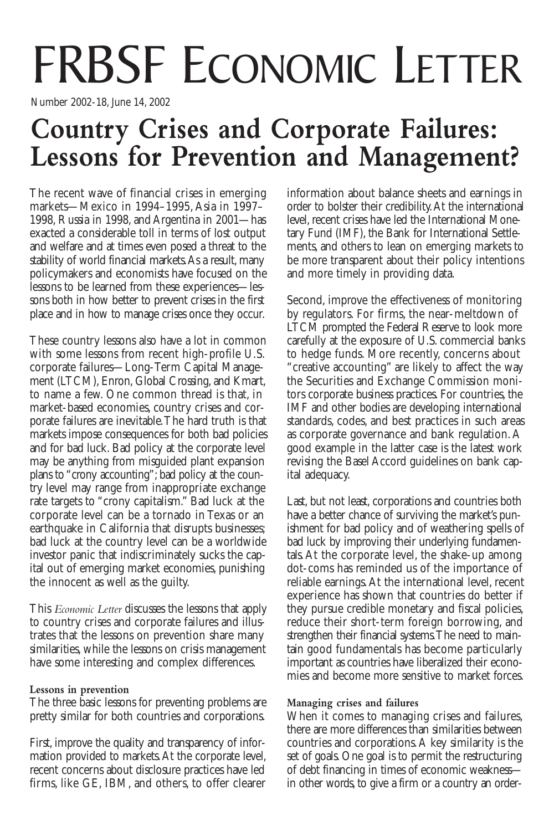# FRBSF ECONOMIC LETTER

Number 2002-18, June 14, 2002

# **Country Crises and Corporate Failures: Lessons for Prevention and Management?**

The recent wave of financial crises in emerging markets—Mexico in 1994–1995, Asia in 1997– 1998, Russia in 1998, and Argentina in 2001—has exacted a considerable toll in terms of lost output and welfare and at times even posed a threat to the stability of world financial markets. As a result, many policymakers and economists have focused on the lessons to be learned from these experiences—lessons both in how better to prevent crises in the first place and in how to manage crises once they occur.

These country lessons also have a lot in common with some lessons from recent high-profile U.S. corporate failures—Long-Term Capital Management (LTCM), Enron, Global Crossing, and Kmart, to name a few. One common thread is that, in market-based economies, country crises and corporate failures are inevitable.The hard truth is that markets impose consequences for both bad policies and for bad luck. Bad policy at the corporate level may be anything from misguided plant expansion plans to "crony accounting"; bad policy at the country level may range from inappropriate exchange rate targets to "crony capitalism." Bad luck at the corporate level can be a tornado in Texas or an earthquake in California that disrupts businesses; bad luck at the country level can be a worldwide investor panic that indiscriminately sucks the capital out of emerging market economies, punishing the innocent as well as the guilty.

This *Economic Letter* discusses the lessons that apply to country crises and corporate failures and illustrates that the lessons on prevention share many similarities, while the lessons on crisis management have some interesting and complex differences.

## **Lessons in prevention**

The three basic lessons for preventing problems are pretty similar for both countries and corporations.

First, improve the quality and transparency of information provided to markets.At the corporate level, recent concerns about disclosure practices have led firms, like GE, IBM, and others, to offer clearer

information about balance sheets and earnings in order to bolster their credibility.At the international level, recent crises have led the International Monetary Fund (IMF), the Bank for International Settlements, and others to lean on emerging markets to be more transparent about their policy intentions and more timely in providing data.

Second, improve the effectiveness of monitoring by regulators. For firms, the near-meltdown of LTCM prompted the Federal Reserve to look more carefully at the exposure of U.S. commercial banks to hedge funds. More recently, concerns about "creative accounting" are likely to affect the way the Securities and Exchange Commission monitors corporate business practices. For countries, the IMF and other bodies are developing international standards, codes, and best practices in such areas as corporate governance and bank regulation. A good example in the latter case is the latest work revising the Basel Accord guidelines on bank capital adequacy.

Last, but not least, corporations and countries both have a better chance of surviving the market's punishment for bad policy and of weathering spells of bad luck by improving their underlying fundamentals.At the corporate level, the shake-up among dot-coms has reminded us of the importance of reliable earnings.At the international level, recent experience has shown that countries do better if they pursue credible monetary and fiscal policies, reduce their short-term foreign borrowing, and strengthen their financial systems.The need to maintain good fundamentals has become particularly important as countries have liberalized their economies and become more sensitive to market forces.

### **Managing crises and failures**

When it comes to managing crises and failures, there are more differences than similarities between countries and corporations.A key similarity is the set of goals. One goal is to permit the restructuring of debt financing in times of economic weakness in other words, to give a firm or a country an order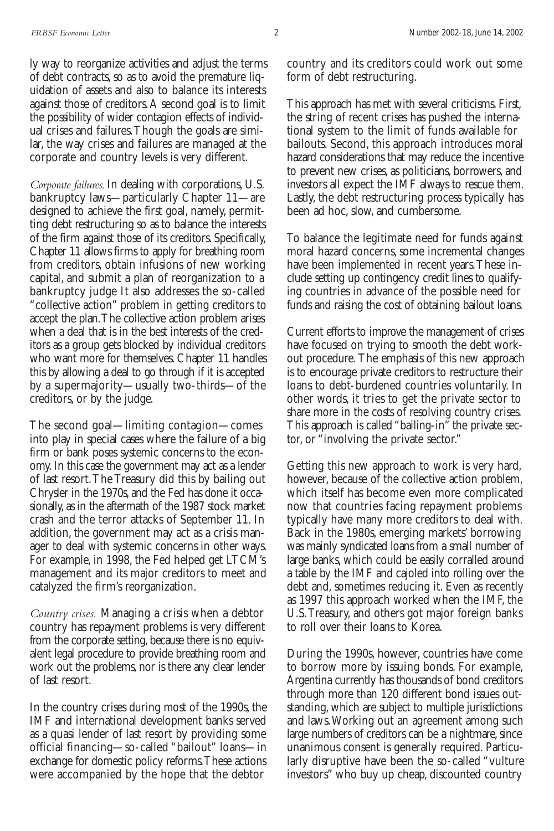ly way to reorganize activities and adjust the terms of debt contracts, so as to avoid the premature liquidation of assets and also to balance its interests against those of creditors.A second goal is to limit the possibility of wider contagion effects of individual crises and failures.Though the goals are similar, the way crises and failures are managed at the corporate and country levels is very different.

*Corporate failures.* In dealing with corporations, U.S. bankruptcy laws—particularly Chapter 11—are designed to achieve the first goal, namely, permitting debt restructuring so as to balance the interests of the firm against those of its creditors. Specifically, Chapter 11 allows firms to apply for breathing room from creditors, obtain infusions of new working capital, and submit a plan of reorganization to a bankruptcy judge It also addresses the so-called "collective action" problem in getting creditors to accept the plan.The collective action problem arises when a deal that is in the best interests of the creditors as a group gets blocked by individual creditors who want more for themselves. Chapter 11 handles this by allowing a deal to go through if it is accepted by a supermajority—usually two-thirds—of the creditors, or by the judge.

The second goal—limiting contagion—comes into play in special cases where the failure of a big firm or bank poses systemic concerns to the economy. In this case the government may act as a lender of last resort.The Treasury did this by bailing out Chrysler in the 1970s, and the Fed has done it occasionally, as in the aftermath of the 1987 stock market crash and the terror attacks of September 11. In addition, the government may act as a crisis manager to deal with systemic concerns in other ways. For example, in 1998, the Fed helped get LTCM's management and its major creditors to meet and catalyzed the firm's reorganization.

*Country crises.* Managing a crisis when a debtor country has repayment problems is very different from the corporate setting, because there is no equivalent legal procedure to provide breathing room and work out the problems, nor is there any clear lender of last resort.

In the country crises during most of the 1990s, the IMF and international development banks served as a quasi lender of last resort by providing some official financing—so-called "bailout" loans—in exchange for domestic policy reforms.These actions were accompanied by the hope that the debtor

country and its creditors could work out some form of debt restructuring.

This approach has met with several criticisms. First, the string of recent crises has pushed the international system to the limit of funds available for bailouts. Second, this approach introduces moral hazard considerations that may reduce the incentive to prevent new crises, as politicians, borrowers, and investors all expect the IMF always to rescue them. Lastly, the debt restructuring process typically has been ad hoc, slow, and cumbersome.

To balance the legitimate need for funds against moral hazard concerns, some incremental changes have been implemented in recent years.These include setting up contingency credit lines to qualifying countries in advance of the possible need for funds and raising the cost of obtaining bailout loans.

Current efforts to improve the management of crises have focused on trying to smooth the debt workout procedure.The emphasis of this new approach is to encourage private creditors to restructure their loans to debt-burdened countries voluntarily. In other words, it tries to get the private sector to share more in the costs of resolving country crises. This approach is called "bailing-in" the private sector, or "involving the private sector."

Getting this new approach to work is very hard, however, because of the collective action problem, which itself has become even more complicated now that countries facing repayment problems typically have many more creditors to deal with. Back in the 1980s, emerging markets' borrowing was mainly syndicated loans from a small number of large banks, which could be easily corralled around a table by the IMF and cajoled into rolling over the debt and, sometimes reducing it. Even as recently as 1997 this approach worked when the IMF, the U.S.Treasury, and others got major foreign banks to roll over their loans to Korea.

During the 1990s, however, countries have come to borrow more by issuing bonds. For example, Argentina currently has thousands of bond creditors through more than 120 different bond issues outstanding, which are subject to multiple jurisdictions and laws.Working out an agreement among such large numbers of creditors can be a nightmare, since unanimous consent is generally required. Particularly disruptive have been the so-called "vulture investors" who buy up cheap, discounted country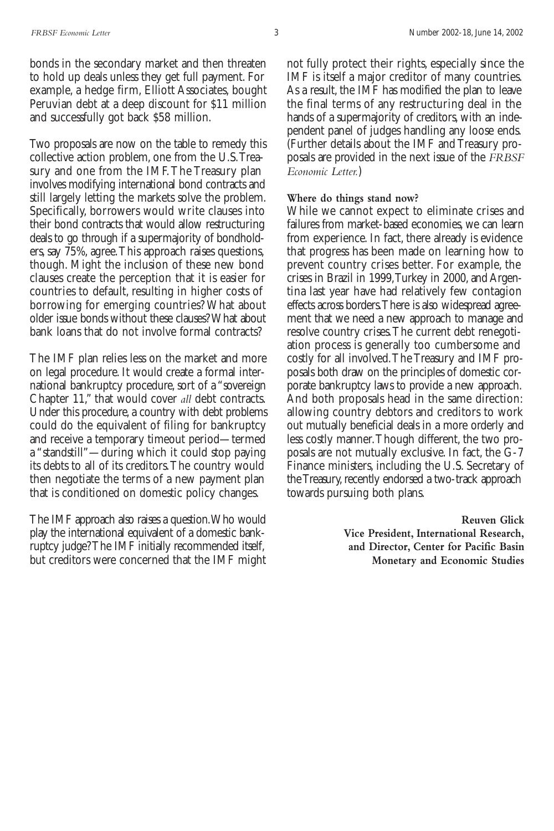bonds in the secondary market and then threaten to hold up deals unless they get full payment. For example, a hedge firm, Elliott Associates, bought Peruvian debt at a deep discount for \$11 million and successfully got back \$58 million.

Two proposals are now on the table to remedy this collective action problem, one from the U.S.Treasury and one from the IMF.The Treasury plan involves modifying international bond contracts and still largely letting the markets solve the problem. Specifically, borrowers would write clauses into their bond contracts that would allow restructuring deals to go through if a supermajority of bondholders, say 75%, agree.This approach raises questions, though. Might the inclusion of these new bond clauses create the perception that it is easier for countries to default, resulting in higher costs of borrowing for emerging countries? What about older issue bonds without these clauses? What about bank loans that do not involve formal contracts?

The IMF plan relies less on the market and more on legal procedure. It would create a formal international bankruptcy procedure, sort of a "sovereign Chapter 11," that would cover *all* debt contracts. Under this procedure, a country with debt problems could do the equivalent of filing for bankruptcy and receive a temporary timeout period—termed a "standstill"—during which it could stop paying its debts to all of its creditors.The country would then negotiate the terms of a new payment plan that is conditioned on domestic policy changes.

The IMF approach also raises a question.Who would play the international equivalent of a domestic bankruptcy judge? The IMF initially recommended itself, but creditors were concerned that the IMF might not fully protect their rights, especially since the IMF is itself a major creditor of many countries. As a result, the IMF has modified the plan to leave the final terms of any restructuring deal in the hands of a supermajority of creditors, with an independent panel of judges handling any loose ends. (Further details about the IMF and Treasury proposals are provided in the next issue of the *FRBSF Economic Letter.*)

#### **Where do things stand now?**

While we cannot expect to eliminate crises and failures from market-based economies, we can learn from experience. In fact, there already is evidence that progress has been made on learning how to prevent country crises better. For example, the crises in Brazil in 1999,Turkey in 2000, and Argentina last year have had relatively few contagion effects across borders.There is also widespread agreement that we need a new approach to manage and resolve country crises.The current debt renegotiation process is generally too cumbersome and costly for all involved.The Treasury and IMF proposals both draw on the principles of domestic corporate bankruptcy laws to provide a new approach. And both proposals head in the same direction: allowing country debtors and creditors to work out mutually beneficial deals in a more orderly and less costly manner.Though different, the two proposals are not mutually exclusive. In fact, the G-7 Finance ministers, including the U.S. Secretary of the Treasury, recently endorsed a two-track approach towards pursuing both plans.

> **Reuven Glick Vice President, International Research, and Director, Center for Pacific Basin Monetary and Economic Studies**